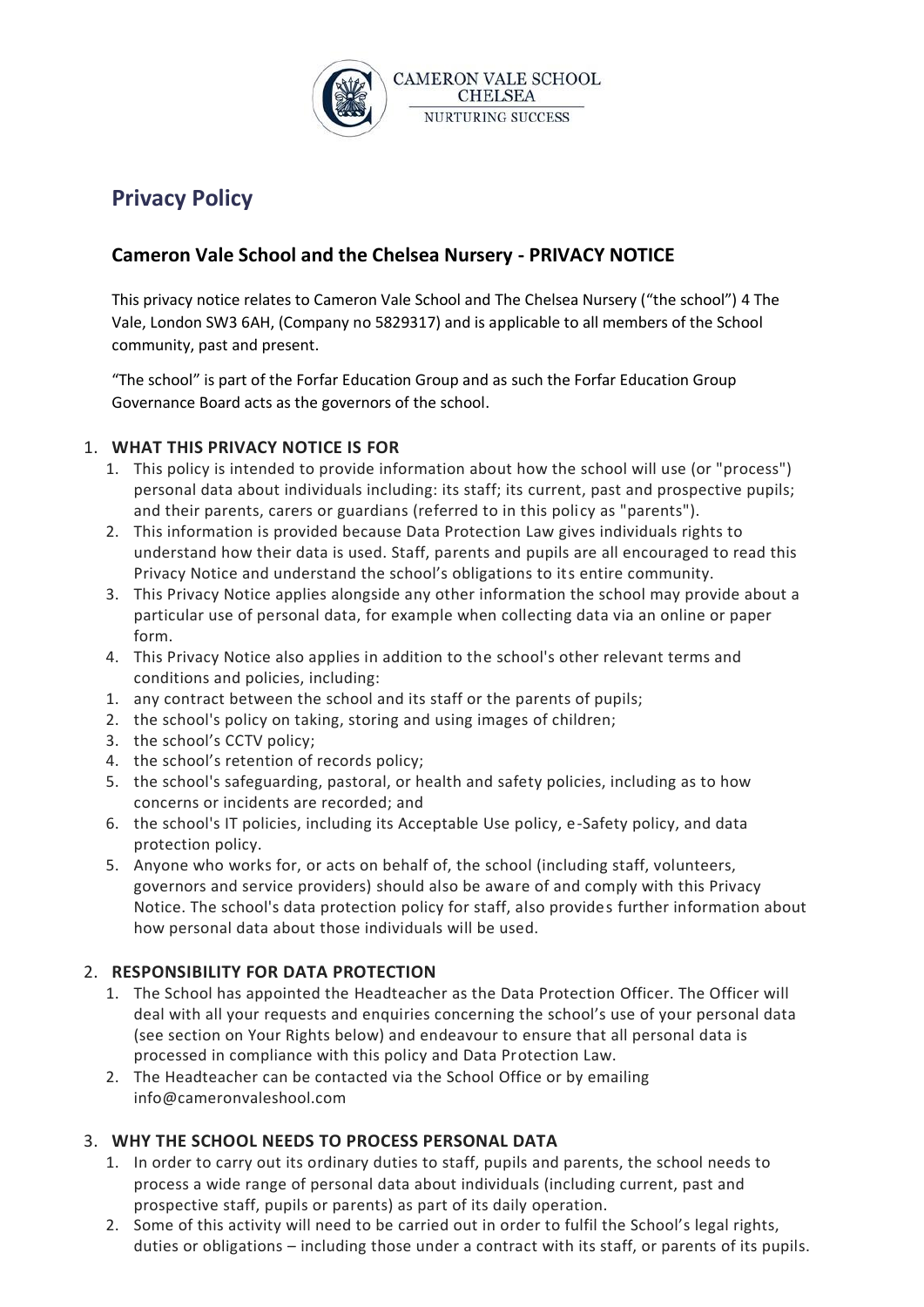

# **Privacy Policy**

## **Cameron Vale School and the Chelsea Nursery - PRIVACY NOTICE**

This privacy notice relates to Cameron Vale School and The Chelsea Nursery ("the school") 4 The Vale, London SW3 6AH, (Company no 5829317) and is applicable to all members of the School community, past and present.

"The school" is part of the Forfar Education Group and as such the Forfar Education Group Governance Board acts as the governors of the school.

#### 1. **WHAT THIS PRIVACY NOTICE IS FOR**

- 1. This policy is intended to provide information about how the school will use (or "process") personal data about individuals including: its staff; its current, past and prospective pupils; and their parents, carers or guardians (referred to in this policy as "parents").
- 2. This information is provided because Data Protection Law gives individuals rights to understand how their data is used. Staff, parents and pupils are all encouraged to read this Privacy Notice and understand the school's obligations to its entire community.
- 3. This Privacy Notice applies alongside any other information the school may provide about a particular use of personal data, for example when collecting data via an online or paper form.
- 4. This Privacy Notice also applies in addition to the school's other relevant terms and conditions and policies, including:
- 1. any contract between the school and its staff or the parents of pupils;
- 2. the school's policy on taking, storing and using images of children;
- 3. the school's CCTV policy;
- 4. the school's retention of records policy;
- 5. the school's safeguarding, pastoral, or health and safety policies, including as to how concerns or incidents are recorded; and
- 6. the school's IT policies, including its Acceptable Use policy, e-Safety policy, and data protection policy.
- 5. Anyone who works for, or acts on behalf of, the school (including staff, volunteers, governors and service providers) should also be aware of and comply with this Privacy Notice. The school's data protection policy for staff, also provides further information about how personal data about those individuals will be used.

#### 2. **RESPONSIBILITY FOR DATA PROTECTION**

- 1. The School has appointed the Headteacher as the Data Protection Officer. The Officer will deal with all your requests and enquiries concerning the school's use of your personal data (see section on Your Rights below) and endeavour to ensure that all personal data is processed in compliance with this policy and Data Protection Law.
- 2. The Headteacher can be contacted via the School Office or by emailing info@cameronvaleshool.com

#### 3. **WHY THE SCHOOL NEEDS TO PROCESS PERSONAL DATA**

- 1. In order to carry out its ordinary duties to staff, pupils and parents, the school needs to process a wide range of personal data about individuals (including current, past and prospective staff, pupils or parents) as part of its daily operation.
- 2. Some of this activity will need to be carried out in order to fulfil the School's legal rights, duties or obligations – including those under a contract with its staff, or parents of its pupils.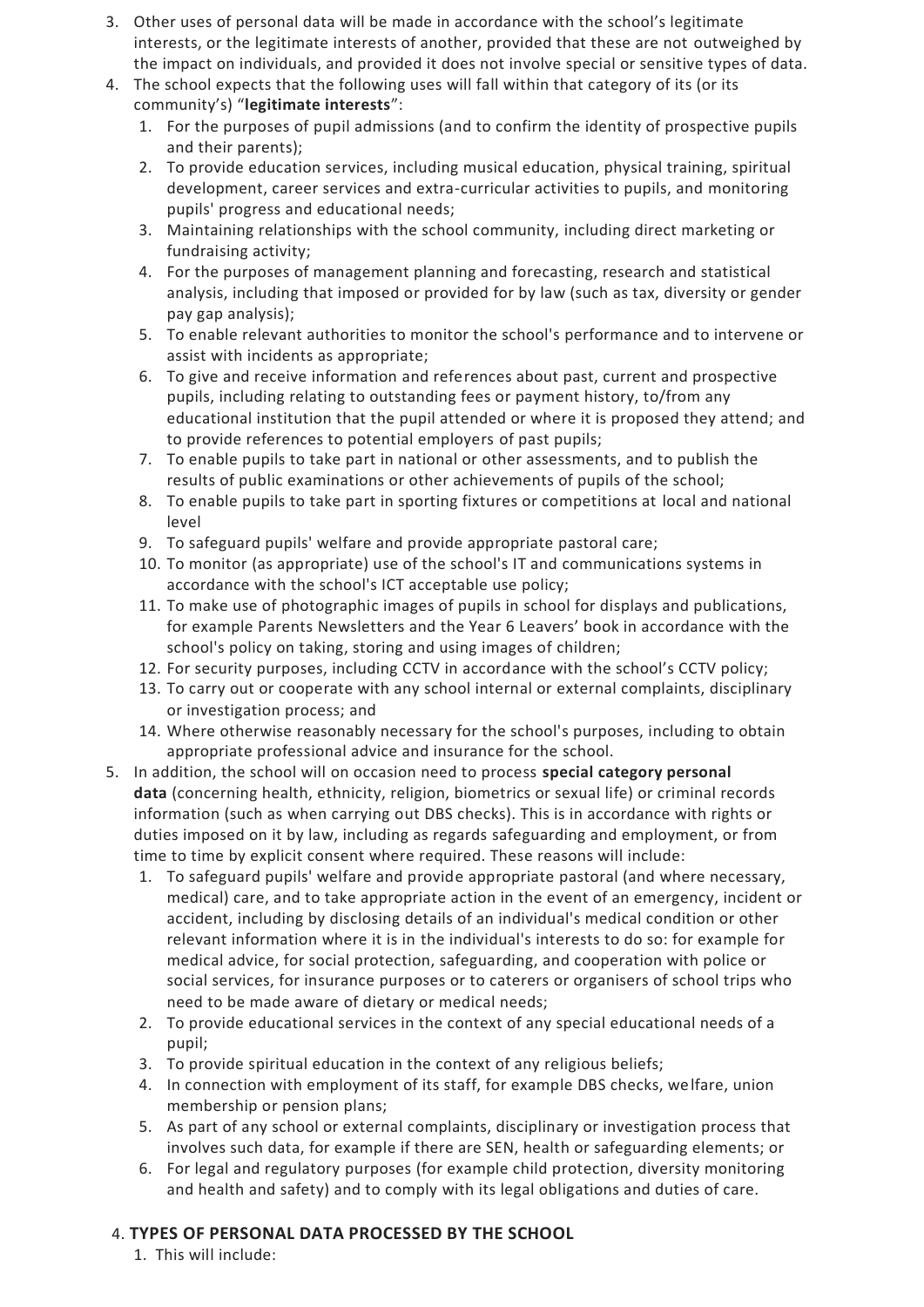- 3. Other uses of personal data will be made in accordance with the school's legitimate interests, or the legitimate interests of another, provided that these are not outweighed by the impact on individuals, and provided it does not involve special or sensitive types of data.
- 4. The school expects that the following uses will fall within that category of its (or its community's) "**legitimate interests**":
	- 1. For the purposes of pupil admissions (and to confirm the identity of prospective pupils and their parents);
	- 2. To provide education services, including musical education, physical training, spiritual development, career services and extra-curricular activities to pupils, and monitoring pupils' progress and educational needs;
	- 3. Maintaining relationships with the school community, including direct marketing or fundraising activity;
	- 4. For the purposes of management planning and forecasting, research and statistical analysis, including that imposed or provided for by law (such as tax, diversity or gender pay gap analysis);
	- 5. To enable relevant authorities to monitor the school's performance and to intervene or assist with incidents as appropriate;
	- 6. To give and receive information and references about past, current and prospective pupils, including relating to outstanding fees or payment history, to/from any educational institution that the pupil attended or where it is proposed they attend; and to provide references to potential employers of past pupils;
	- 7. To enable pupils to take part in national or other assessments, and to publish the results of public examinations or other achievements of pupils of the school;
	- 8. To enable pupils to take part in sporting fixtures or competitions at local and national level
	- 9. To safeguard pupils' welfare and provide appropriate pastoral care;
	- 10. To monitor (as appropriate) use of the school's IT and communications systems in accordance with the school's ICT acceptable use policy;
	- 11. To make use of photographic images of pupils in school for displays and publications, for example Parents Newsletters and the Year 6 Leavers' book in accordance with the school's policy on taking, storing and using images of children;
	- 12. For security purposes, including CCTV in accordance with the school's CCTV policy;
	- 13. To carry out or cooperate with any school internal or external complaints, disciplinary or investigation process; and
	- 14. Where otherwise reasonably necessary for the school's purposes, including to obtain appropriate professional advice and insurance for the school.
- 5. In addition, the school will on occasion need to process **special category personal data** (concerning health, ethnicity, religion, biometrics or sexual life) or criminal records information (such as when carrying out DBS checks). This is in accordance with rights or duties imposed on it by law, including as regards safeguarding and employment, or from time to time by explicit consent where required. These reasons will include:
	- 1. To safeguard pupils' welfare and provide appropriate pastoral (and where necessary, medical) care, and to take appropriate action in the event of an emergency, incident or accident, including by disclosing details of an individual's medical condition or other relevant information where it is in the individual's interests to do so: for example for medical advice, for social protection, safeguarding, and cooperation with police or social services, for insurance purposes or to caterers or organisers of school trips who need to be made aware of dietary or medical needs;
	- 2. To provide educational services in the context of any special educational needs of a pupil;
	- 3. To provide spiritual education in the context of any religious beliefs;
	- 4. In connection with employment of its staff, for example DBS checks, welfare, union membership or pension plans;
	- 5. As part of any school or external complaints, disciplinary or investigation process that involves such data, for example if there are SEN, health or safeguarding elements; or
	- 6. For legal and regulatory purposes (for example child protection, diversity monitoring and health and safety) and to comply with its legal obligations and duties of care.

## 4. **TYPES OF PERSONAL DATA PROCESSED BY THE SCHOOL**

1. This will include: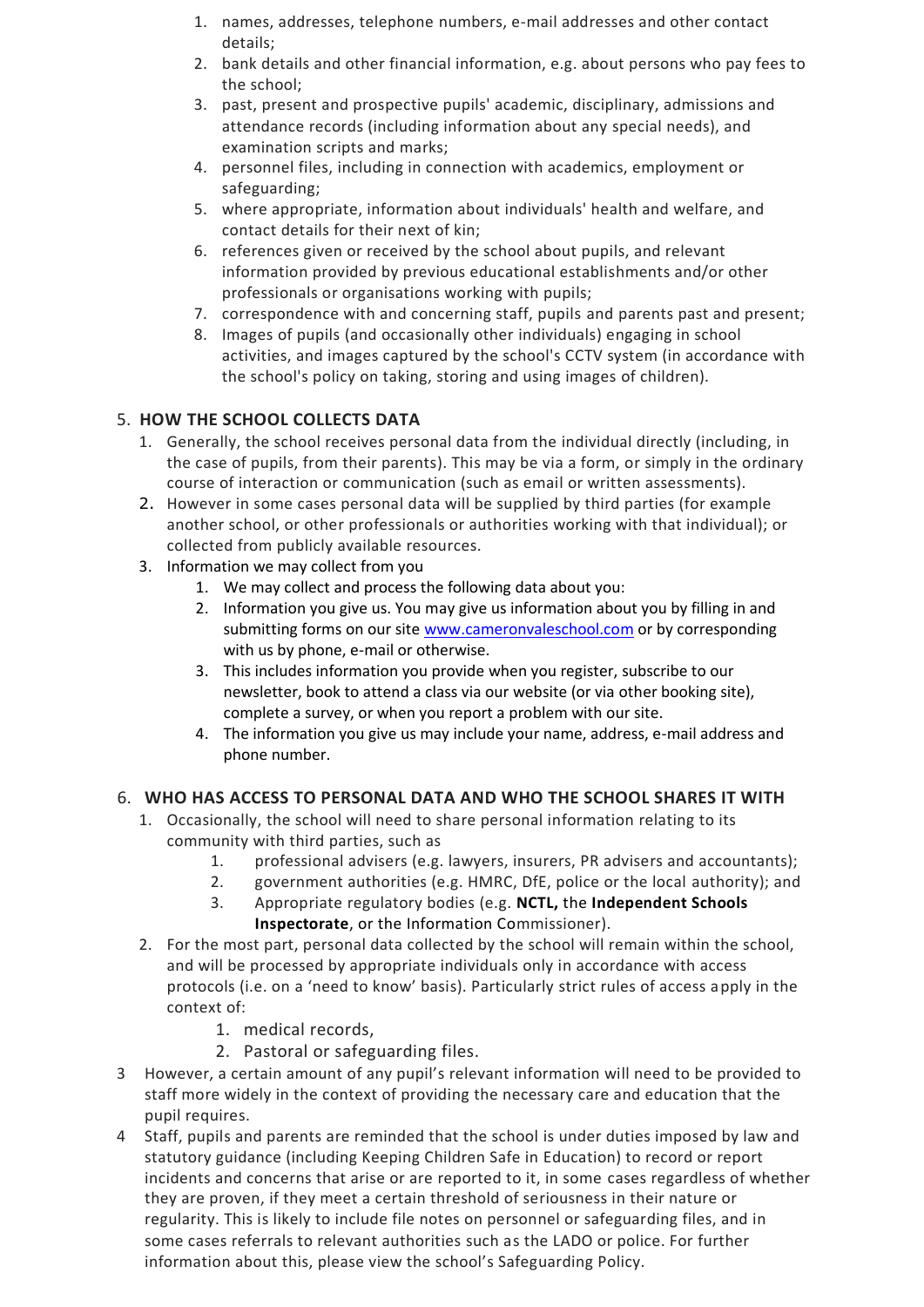- 1. names, addresses, telephone numbers, e-mail addresses and other contact details;
- 2. bank details and other financial information, e.g. about persons who pay fees to the school;
- 3. past, present and prospective pupils' academic, disciplinary, admissions and attendance records (including information about any special needs), and examination scripts and marks;
- 4. personnel files, including in connection with academics, employment or safeguarding;
- 5. where appropriate, information about individuals' health and welfare, and contact details for their next of kin;
- 6. references given or received by the school about pupils, and relevant information provided by previous educational establishments and/or other professionals or organisations working with pupils;
- 7. correspondence with and concerning staff, pupils and parents past and present;
- 8. Images of pupils (and occasionally other individuals) engaging in school activities, and images captured by the school's CCTV system (in accordance with the school's policy on taking, storing and using images of children).

## 5. **HOW THE SCHOOL COLLECTS DATA**

- 1. Generally, the school receives personal data from the individual directly (including, in the case of pupils, from their parents). This may be via a form, or simply in the ordinary course of interaction or communication (such as email or written assessments).
- 2. However in some cases personal data will be supplied by third parties (for example another school, or other professionals or authorities working with that individual); or collected from publicly available resources.
- 3. Information we may collect from you
	- 1. We may collect and process the following data about you:
	- 2. Information you give us. You may give us information about you by filling in and submitting forms on our site [www.cameronvaleschool.com](https://gbr01.safelinks.protection.outlook.com/?url=http%3A%2F%2Fwww.cameronvaleschool.com%2F&data=05%7C01%7Ccg%40forfareducation.co.uk%7Cef3023f75b4c46188e6008da26b0146c%7C5ae35efdb57b4c03b16bf9e61c47dd45%7C0%7C0%7C637864834938313544%7CUnknown%7CTWFpbGZsb3d8eyJWIjoiMC4wLjAwMDAiLCJQIjoiV2luMzIiLCJBTiI6Ik1haWwiLCJXVCI6Mn0%3D%7C3000%7C%7C%7C&sdata=P%2BJ25ygLUzWzZqn3HcLxNwhW4zBItmJyGAWPiJWgfx4%3D&reserved=0) or by corresponding with us by phone, e-mail or otherwise.
	- 3. This includes information you provide when you register, subscribe to our newsletter, book to attend a class via our website (or via other booking site), complete a survey, or when you report a problem with our site.
	- 4. The information you give us may include your name, address, e-mail address and phone number.

## 6. **WHO HAS ACCESS TO PERSONAL DATA AND WHO THE SCHOOL SHARES IT WITH**

- 1. Occasionally, the school will need to share personal information relating to its community with third parties, such as
	- 1. professional advisers (e.g. lawyers, insurers, PR advisers and accountants);
	- 2. government authorities (e.g. HMRC, DfE, police or the local authority); and
	- 3. Appropriate regulatory bodies (e.g. **[NCTL,](https://www.gov.uk/government/organisations/national-college-for-teaching-and-leadership)** the **[Independent Schools](https://www.isi.net/)  [Inspectorate](https://www.isi.net/)**, or the Information Commissioner).
- 2. For the most part, personal data collected by the school will remain within the school, and will be processed by appropriate individuals only in accordance with access protocols (i.e. on a 'need to know' basis). Particularly strict rules of access apply in the context of:
	- 1. medical records,
	- 2. Pastoral or safeguarding files.
- 3 However, a certain amount of any pupil's relevant information will need to be provided to staff more widely in the context of providing the necessary care and education that the pupil requires.
- 4 Staff, pupils and parents are reminded that the school is under duties imposed by law and statutory guidance (including Keeping Children Safe in Education) to record or report incidents and concerns that arise or are reported to it, in some cases regardless of whether they are proven, if they meet a certain threshold of seriousness in their nature or regularity. This is likely to include file notes on personnel or safeguarding files, and in some cases referrals to relevant authorities such as the LADO or police. For further information about this, please view the school's Safeguarding Policy.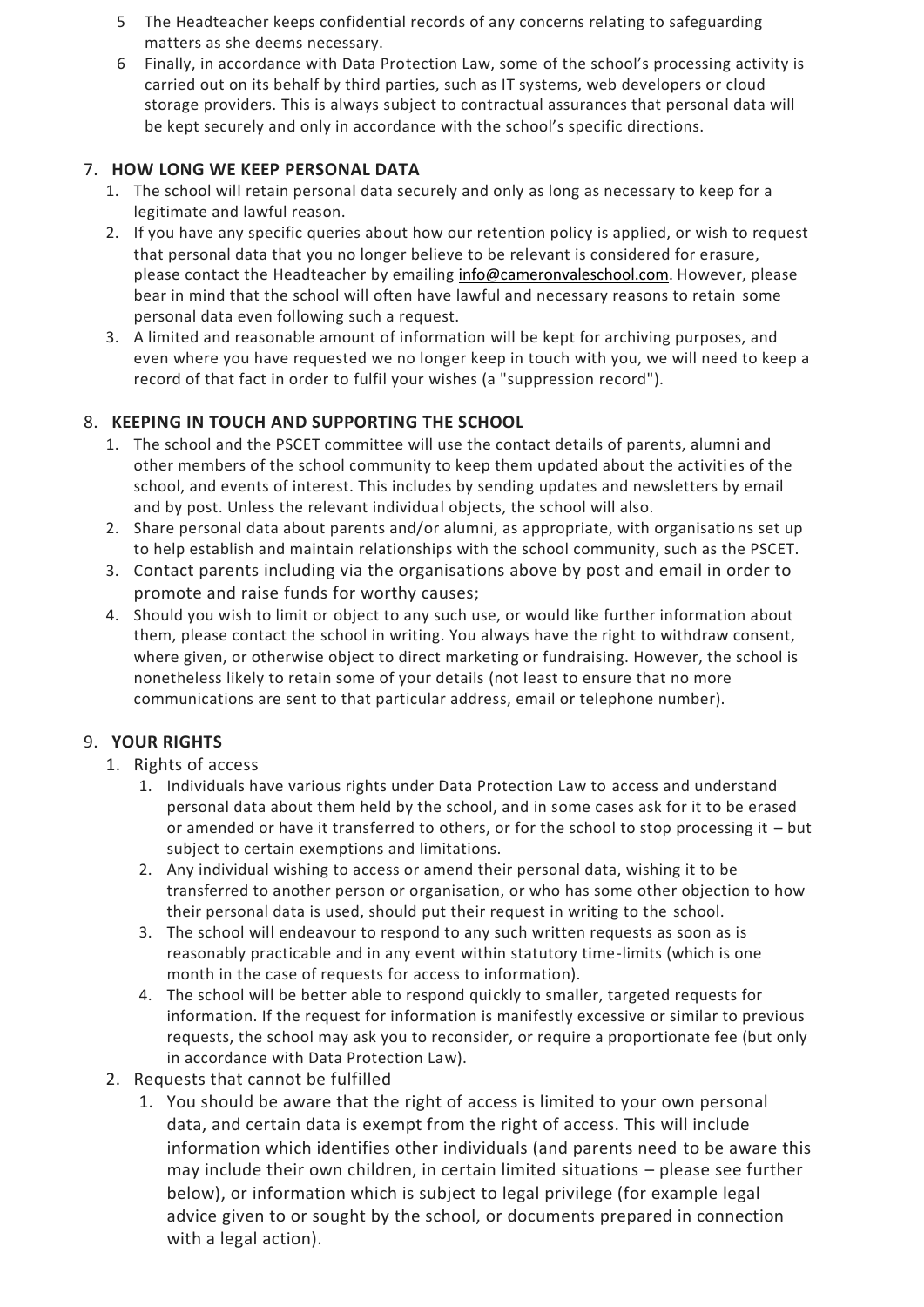- 5 The Headteacher keeps confidential records of any concerns relating to safeguarding matters as she deems necessary.
- 6 Finally, in accordance with Data Protection Law, some of the school's processing activity is carried out on its behalf by third parties, such as IT systems, web developers or cloud storage providers. This is always subject to contractual assurances that personal data will be kept securely and only in accordance with the school's specific directions.

#### 7. **HOW LONG WE KEEP PERSONAL DATA**

- 1. The school will retain personal data securely and only as long as necessary to keep for a legitimate and lawful reason.
- 2. If you have any specific queries about how our retention policy is applied, or wish to request that personal data that you no longer believe to be relevant is considered for erasure, please contact the Headteacher by emailing [info@cameronvaleschool.com.](mailto:info@cameronvaleschool.com) However, please bear in mind that the school will often have lawful and necessary reasons to retain some personal data even following such a request.
- 3. A limited and reasonable amount of information will be kept for archiving purposes, and even where you have requested we no longer keep in touch with you, we will need to keep a record of that fact in order to fulfil your wishes (a "suppression record").

## 8. **KEEPING IN TOUCH AND SUPPORTING THE SCHOOL**

- 1. The school and the PSCET committee will use the contact details of parents, alumni and other members of the school community to keep them updated about the activities of the school, and events of interest. This includes by sending updates and newsletters by email and by post. Unless the relevant individual objects, the school will also.
- 2. Share personal data about parents and/or alumni, as appropriate, with organisations set up to help establish and maintain relationships with the school community, such as the PSCET.
- 3. Contact parents including via the organisations above by post and email in order to promote and raise funds for worthy causes;
- 4. Should you wish to limit or object to any such use, or would like further information about them, please contact the school in writing. You always have the right to withdraw consent, where given, or otherwise object to direct marketing or fundraising. However, the school is nonetheless likely to retain some of your details (not least to ensure that no more communications are sent to that particular address, email or telephone number).

# 9. **YOUR RIGHTS**

- 1. Rights of access
	- 1. Individuals have various rights under Data Protection Law to access and understand personal data about them held by the school, and in some cases ask for it to be erased or amended or have it transferred to others, or for the school to stop processing it – but subject to certain exemptions and limitations.
	- 2. Any individual wishing to access or amend their personal data, wishing it to be transferred to another person or organisation, or who has some other objection to how their personal data is used, should put their request in writing to the school.
	- 3. The school will endeavour to respond to any such written requests as soon as is reasonably practicable and in any event within statutory time-limits (which is one month in the case of requests for access to information).
	- 4. The school will be better able to respond quickly to smaller, targeted requests for information. If the request for information is manifestly excessive or similar to previous requests, the school may ask you to reconsider, or require a proportionate fee (but only in accordance with Data Protection Law).
- 2. Requests that cannot be fulfilled
	- 1. You should be aware that the right of access is limited to your own personal data, and certain data is exempt from the right of access. This will include information which identifies other individuals (and parents need to be aware this may include their own children, in certain limited situations – please see further below), or information which is subject to legal privilege (for example legal advice given to or sought by the school, or documents prepared in connection with a legal action).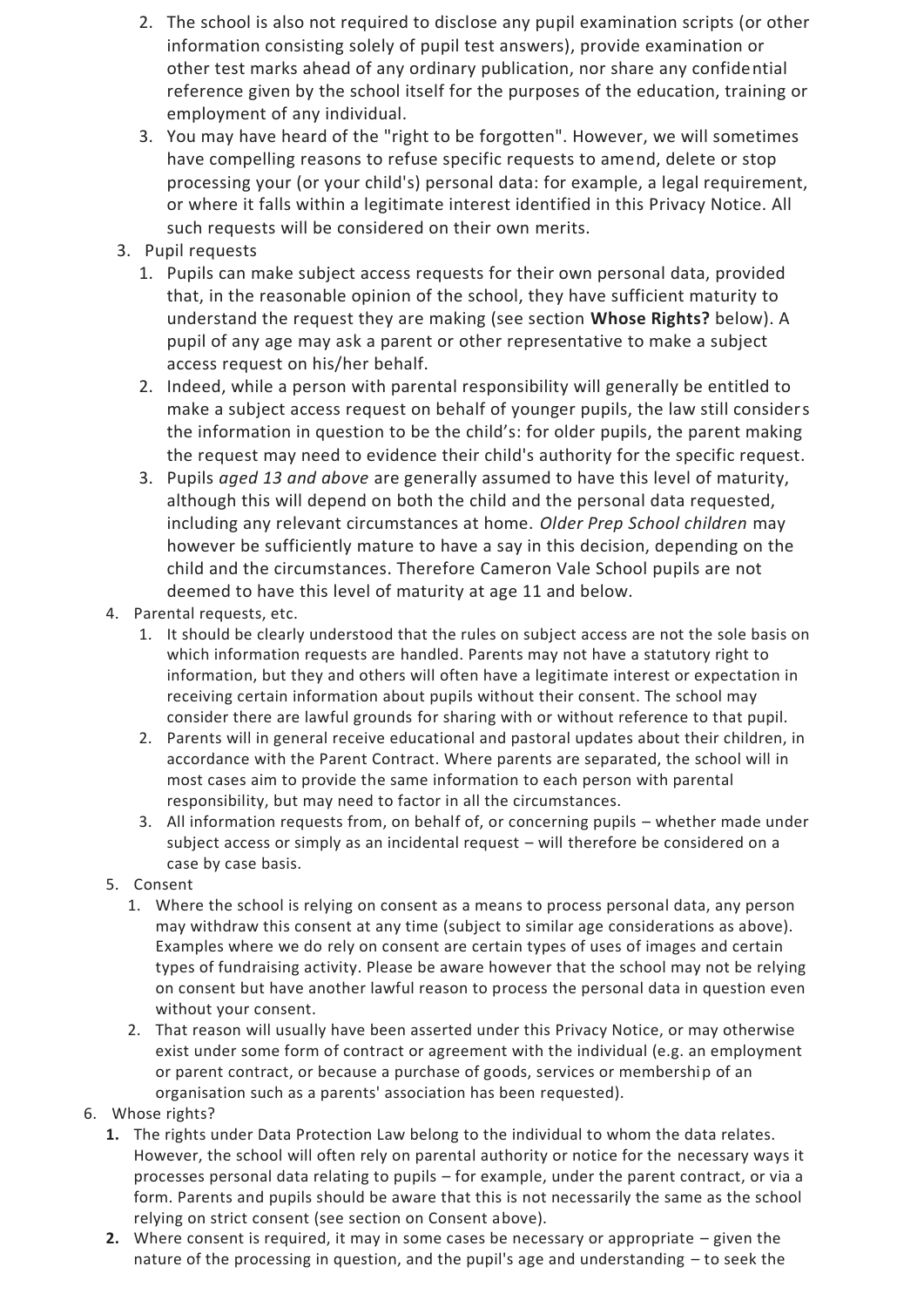- 2. The school is also not required to disclose any pupil examination scripts (or other information consisting solely of pupil test answers), provide examination or other test marks ahead of any ordinary publication, nor share any confidential reference given by the school itself for the purposes of the education, training or employment of any individual.
- 3. You may have heard of the "right to be forgotten". However, we will sometimes have compelling reasons to refuse specific requests to amend, delete or stop processing your (or your child's) personal data: for example, a legal requirement, or where it falls within a legitimate interest identified in this Privacy Notice. All such requests will be considered on their own merits.
- 3. Pupil requests
	- 1. Pupils can make subject access requests for their own personal data, provided that, in the reasonable opinion of the school, they have sufficient maturity to understand the request they are making (see section **Whose Rights?** below). A pupil of any age may ask a parent or other representative to make a subject access request on his/her behalf.
	- 2. Indeed, while a person with parental responsibility will generally be entitled to make a subject access request on behalf of younger pupils, the law still considers the information in question to be the child's: for older pupils, the parent making the request may need to evidence their child's authority for the specific request.
	- 3. Pupils *aged 13 and above* are generally assumed to have this level of maturity, although this will depend on both the child and the personal data requested, including any relevant circumstances at home. *Older Prep School children* may however be sufficiently mature to have a say in this decision, depending on the child and the circumstances. Therefore Cameron Vale School pupils are not deemed to have this level of maturity at age 11 and below.
- 4. Parental requests, etc.
	- 1. It should be clearly understood that the rules on subject access are not the sole basis on which information requests are handled. Parents may not have a statutory right to information, but they and others will often have a legitimate interest or expectation in receiving certain information about pupils without their consent. The school may consider there are lawful grounds for sharing with or without reference to that pupil.
	- 2. Parents will in general receive educational and pastoral updates about their children, in accordance with the Parent Contract. Where parents are separated, the school will in most cases aim to provide the same information to each person with parental responsibility, but may need to factor in all the circumstances.
	- 3. All information requests from, on behalf of, or concerning pupils whether made under subject access or simply as an incidental request – will therefore be considered on a case by case basis.
- 5. Consent
	- 1. Where the school is relying on consent as a means to process personal data, any person may withdraw this consent at any time (subject to similar age considerations as above). Examples where we do rely on consent are certain types of uses of images and certain types of fundraising activity. Please be aware however that the school may not be relying on consent but have another lawful reason to process the personal data in question even without your consent.
	- 2. That reason will usually have been asserted under this Privacy Notice, or may otherwise exist under some form of contract or agreement with the individual (e.g. an employment or parent contract, or because a purchase of goods, services or membership of an organisation such as a parents' association has been requested).
- 6. Whose rights?
	- **1.** The rights under Data Protection Law belong to the individual to whom the data relates. However, the school will often rely on parental authority or notice for the necessary ways it processes personal data relating to pupils – for example, under the parent contract, or via a form. Parents and pupils should be aware that this is not necessarily the same as the school relying on strict consent (see section on Consent above).
	- **2.** Where consent is required, it may in some cases be necessary or appropriate given the nature of the processing in question, and the pupil's age and understanding – to seek the